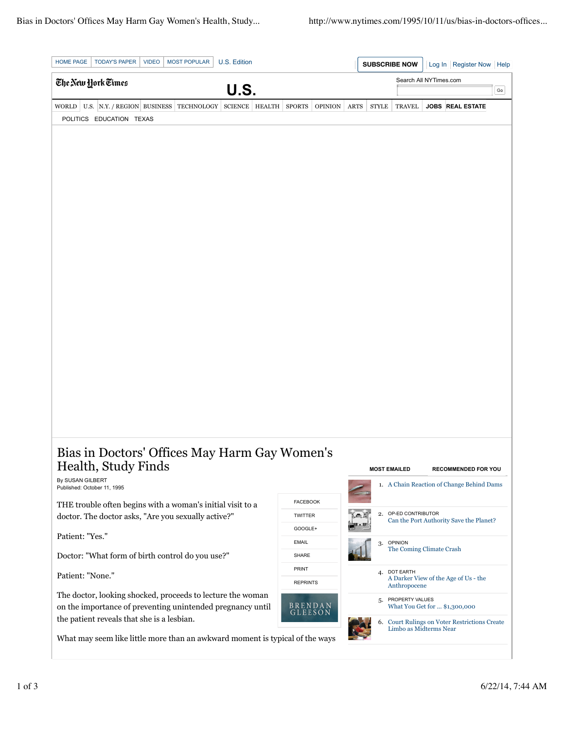| <b>MOST POPULAR</b><br>U.S. Edition<br><b>HOME PAGE</b><br><b>TODAY'S PAPER</b><br><b>VIDEO</b>                          |                           |                |      | <b>SUBSCRIBE NOW</b>   |                                               | Log In   Register Now   Help                                            |    |
|--------------------------------------------------------------------------------------------------------------------------|---------------------------|----------------|------|------------------------|-----------------------------------------------|-------------------------------------------------------------------------|----|
|                                                                                                                          |                           |                |      |                        | Search All NYTimes.com                        |                                                                         |    |
| The New York Times<br>U.S.                                                                                               |                           |                |      |                        |                                               |                                                                         | Go |
| WORLD   U.S. N.Y. / REGION   BUSINESS   TECHNOLOGY<br><b>SCIENCE HEALTH</b>                                              | <b>SPORTS</b>             | <b>OPINION</b> | ARTS | <b>STYLE</b>           | <b>TRAVEL</b>                                 | <b>JOBS REAL ESTATE</b>                                                 |    |
| POLITICS EDUCATION TEXAS                                                                                                 |                           |                |      |                        |                                               |                                                                         |    |
|                                                                                                                          |                           |                |      |                        |                                               |                                                                         |    |
| Bias in Doctors' Offices May Harm Gay Women's<br>Health, Study Finds<br>By SUSAN GILBERT<br>Published: October 11, 1995  |                           |                |      | <b>MOST EMAILED</b>    |                                               | <b>RECOMMENDED FOR YOU</b><br>1. A Chain Reaction of Change Behind Dams |    |
| THE trouble often begins with a woman's initial visit to a                                                               | <b>FACEBOOK</b>           |                |      |                        |                                               |                                                                         |    |
| doctor. The doctor asks, "Are you sexually active?"                                                                      | TWITTER                   |                |      |                        | 2. OP-ED CONTRIBUTOR                          | Can the Port Authority Save the Planet?                                 |    |
| Patient: "Yes."                                                                                                          | GOOGLE+                   |                |      |                        |                                               |                                                                         |    |
|                                                                                                                          | <b>EMAIL</b>              |                |      | 3.                     | OPINION<br>The Coming Climate Crash           |                                                                         |    |
| Doctor: "What form of birth control do you use?"                                                                         | SHARE                     |                |      |                        |                                               |                                                                         |    |
| Patient: "None."                                                                                                         | PRINT                     |                |      | 4.                     | DOT EARTH                                     |                                                                         |    |
|                                                                                                                          | <b>REPRINTS</b>           |                |      |                        | Anthropocene                                  | A Darker View of the Age of Us - the                                    |    |
| The doctor, looking shocked, proceeds to lecture the woman<br>on the importance of preventing unintended pregnancy until | <b>BRENDAN</b><br>GLEESON |                |      | 5.                     | PROPERTY VALUES                               | What You Get for  \$1,300,000                                           |    |
| the patient reveals that she is a lesbian.                                                                               |                           |                |      | Limbo as Midterms Near | 6. Court Rulings on Voter Restrictions Create |                                                                         |    |
| What may seem like little more than an awkward moment is typical of the ways                                             |                           |                |      |                        |                                               |                                                                         |    |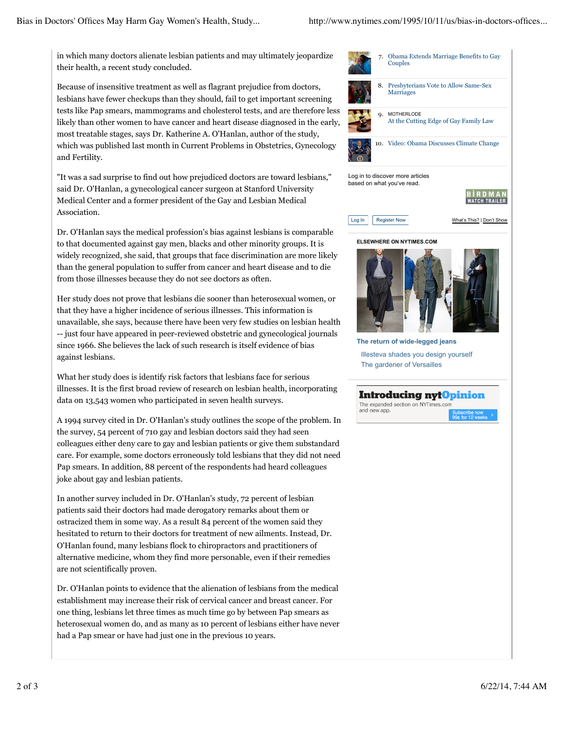in which many doctors alienate lesbian patients and may ultimately jeopardize their health, a recent study concluded.

Because of insensitive treatment as well as flagrant prejudice from doctors, lesbians have fewer checkups than they should, fail to get important screening tests like Pap smears, mammograms and cholesterol tests, and are therefore less likely than other women to have cancer and heart disease diagnosed in the early, most treatable stages, says Dr. Katherine A. O'Hanlan, author of the study, which was published last month in Current Problems in Obstetrics, Gynecology and Fertility.

"It was a sad surprise to find out how prejudiced doctors are toward lesbians," said Dr. O'Hanlan, a gynecological cancer surgeon at Stanford University Medical Center and a former president of the Gay and Lesbian Medical Association.

Dr. O'Hanlan says the medical profession's bias against lesbians is comparable to that documented against gay men, blacks and other minority groups. It is widely recognized, she said, that groups that face discrimination are more likely than the general population to suffer from cancer and heart disease and to die from those illnesses because they do not see doctors as often.

Her study does not prove that lesbians die sooner than heterosexual women, or that they have a higher incidence of serious illnesses. This information is unavailable, she says, because there have been very few studies on lesbian health -- just four have appeared in peer-reviewed obstetric and gynecological journals since 1966. She believes the lack of such research is itself evidence of bias against lesbians.

What her study does is identify risk factors that lesbians face for serious illnesses. It is the first broad review of research on lesbian health, incorporating data on 13,543 women who participated in seven health surveys.

A 1994 survey cited in Dr. O'Hanlan's study outlines the scope of the problem. In the survey, 54 percent of 710 gay and lesbian doctors said they had seen colleagues either deny care to gay and lesbian patients or give them substandard care. For example, some doctors erroneously told lesbians that they did not need Pap smears. In addition, 88 percent of the respondents had heard colleagues joke about gay and lesbian patients.

In another survey included in Dr. O'Hanlan's study, 72 percent of lesbian patients said their doctors had made derogatory remarks about them or ostracized them in some way. As a result 84 percent of the women said they hesitated to return to their doctors for treatment of new ailments. Instead, Dr. O'Hanlan found, many lesbians flock to chiropractors and practitioners of alternative medicine, whom they find more personable, even if their remedies are not scientifically proven.

Dr. O'Hanlan points to evidence that the alienation of lesbians from the medical establishment may increase their risk of cervical cancer and breast cancer. For one thing, lesbians let three times as much time go by between Pap smears as heterosexual women do, and as many as 10 percent of lesbians either have never had a Pap smear or have had just one in the previous 10 years.